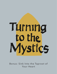

Bonus: Sink Into the Taproot of Your Heart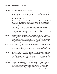Jim Finley: [music] Greetings. I'm Jim Finley.

Kirsten Oates: And I'm Kirsten Oates.

Jim Finley: Welcome to Turning to the Mystics. [bell tone]

Kirsten Oates: Welcome, everyone, to this podcast recording of Turning to the Mystics with Jim Finley. I'm joining you in my role as program designer for the CAC, and just letting you know that at the CAC, the Center for Action and Contemplation, we are trying to create some more responsive programming to the terrible and unexpected chaos that we've found ourselves in as a result of the coronavirus.

> We're so lucky to have someone like Jim Finley on our faculty who has not only a depth of knowledge and embodied experience in the Christian mystics, but also worked for many years as a psychotherapist. And so, what's happening now really touches on one of Jim's core teachings, the spirituality of healing.

> And so, Jim, we're so grateful that you've taken time out of your day to spend with us responding to the virus. And before we get started, I'll just let everybody know that you're at home in your study in California. I'm at home in mine, and Corey, our producer, is also on with us in Albuquerque, New Mexico. So, we've been in the shelter-in experience for at least a week. And, Jim, we're so grateful to have this time with you today.

Jim Finley: Thank you. Yes, thank you, Kirsten. When you called me and said that the staff there at the CAC was talking about how timely it would be to say something about what's going on, to kind of ground these teachings of the mystics in the suffering of the real world. This connection between the mystical traditions and social justice, the corporal works of mercy, that it heightens our response to suffering. And so, it seems so timely and kind of providential and important that we can do this. So, I'm glad we can do it.

- Kirsten Oates: Yeah. Thank you, Jim. And when we spoke about the podcast overall, we thought that we will continue with these more-responsive podcasts for a while. We're estimating at least four weeks of recording a new podcast each week in response to what's happening in that moment alongside your evergreen depth of teaching that really stands the test of time in terms of responding to crises like these.
- Jim Finley: Yes. And then what we'll do after these three or four, or whatever that is, we'll just pick up where we left off with Merton, and we'll probably move next onto Teresa of Avila as the next subject, and we'll just continue on with the series. So, this is kind of a hiatus to ground these mystical reflections in the suffering that we're all going through right now, how our grounded-ness in the mystics can help us to be present to this in a spiritually grounded way.

Kirsten Oates: Well, thank you so much, Jim, and I'll hand this over to you to lead us through today.

Jim Finley: Thank you. Thank you, Kirsten. Yes. What I'm going to do here is I want to follow the same format that we've been following in Turning to the Mystics. That is, I'll share with you a reflection, kind of a poetic, experiential reflection on kind of grounding ourselves in the richness of the mystical lineage of the Christian Tradition, one in spirit with the mystical lineage of all the world's great religions, and then some poets, philosophers, or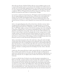those who serve the poor. And then I'll share with you a way to meditate or pray as a way to experientially ground ourselves in the spiritual truth embodied in the reflection that we can then carry out of that daily meditation practice a way to help us be present to this crisis in a more compassionate, grounded, authentic, and helpful way. And, then we'll end with a meditation. We'll sit, I'll ring the bell, and we'll bow, and say the Lord's Prayer. And so, that'll be our format for each of these. So, with that then, I'll begin.

 Let's say here is a kind of a devotional practice. We begin by a kind of visualization practice, that we're approaching Jesus with our hearts heavy, with these fears of the pandemic for ourselves, for our family, the disturbing statistics that we're seeing on the media, and something that may go on for a while, get worse, and kind of the breaking down of the societal structures on whom we tend to depend for our security, kind of the uncertainty of it all.

 And so, we're approaching Jesus then with our hearts heavy with these concerns. And as we approach Jesus in this kind of waking dream, as we approach Jesus, we see that he's already engaged with people who are asking him a question. And the Pharisees are asking him, "Lord," Rabbi, teacher, you know, "out of all your teachings, what is the teaching that is the greatest teaching? That is, out of all your commandments what it is that succinctly epitomizes everything that you're saying?" And we also sense that while the Pharisees may be there in their attempt to trick him, the disciples that are there, among whom we would consider ourselves, were keenly interested in what he's going to say, because we sense that in the presence of Jesus we're in the presence of God, and in the parables and in the stories that he says, we sense the beauty of his teachings, and they're beautiful because they're true, because he conveys to us the truth of God, God's presence in our life.

 And so, we're keenly interested in what is this truth; that is, what is the truth in the light of which all the other truth that he expresses can be understood? That is, what is the truth, and grounded in that truth, everything that he teaches about us and God kind of falls into place. And, therefore, we assume that this really will set the context for our fears about the pandemic, because if we can then see our fears about the pandemic in the context of this truth, we're already in a teaching moment for the healing of our fears. And so, what does Jesus say?

 I think, also, when someone like Jesus is asked a question like this, we're especially attentive. How would the teacher distill out the essence, this ribbon through everything that the teacher says? And Jesus does not say the first truth, the most important commandment, is to believe that God exists. See, we might say that we believe that God exists. We can say that God exists.

 To move in a little bit closer. He doesn't even say that the greatest commandment is to believe in God, like, to entrust ourselves to God. You know, like in Alcoholics Anonymous where the recovering alcoholic admits that they're powerless over alcohol, we would say we're powerless over our fear. And then they would say that a power greater than ourselves can restore us to sanity, which is their Higher Power, which is God. But this will happen only if we hand ourselves over to the care of God can we be delivered from this. So, just as the recovering alcoholic says, "Lord, I don't know who you are, but I do know who you are, you're the one who saved my life. And I don't know who I am, but I do know, because I'm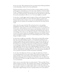the one you saved." We're drawing into this very intimate kind of faith-groundedness in this relationship in which we're set free and liberated.

 But Jesus just doesn't say that. He moves in closer to entrust ourselves to God. He said the greatest commandment is to love God—this is Matthew 22:34-40, I think he said, "The greatest commandment is to love God," and not just to love God, but to love God "with all your heart, and with all your soul, and with all your mind. And the second commandment is like to it, is to "Love your neighbor as yourself."

 So, here then, I would suggest under the auspices of these words, this great teaching, we can then ground ourselves in an inner clarity that will give a context to the liberation from our fears, of where we are, our very understandable fears about the pandemic; first, for ourselves, for our family, for our loved ones, for society, for the world.

 And so, how do we get at this then? We say that Jesus here is now speaking theologically as the Christ. Another way of looking at it, we would say, Jesus is a Jewish mystic, and he speaks to us as truth. That in his presence, we sense that we're in the presence of God, and that in his words, are the intonations of God's voice in our heart. And so, how are we to listen in like this? And I think here first, when we were looking at this, when we were reflecting on Merton, is we're looking at this now in terms of the ancient wisdom of contemplative Christianity, the timeless wisdom of the contemplative worldview, this way of understanding ourselves, others, and all things in the light of creation.

 So, here's how we might say it poetically—all the mystics are kind of like echoing this vision, this understanding of creation—is that ultimately speaking just one thing that's happening, that the infinite presence of God is presence-ing itself, or is pouring itself out, or giving itself away whole and complete in and as the gift and the miracle of our very presence, the presence of others, the presence of all things in our nothingness without God? That's the mystery. Ultimately speaking, that's what's happening. And since love is the overflowing fullness of presence, we can say, ultimately speaking, just one thing is happening—the infinite love of God is pouring itself out, emptying itself, and giving itself away in and as the intimate immediacy of our very presence, the presence of others, the presence of all things.

 So, love then, this infinite love of God, is our origin, the infinite love of God is our sustaining ground. If at the count of three, God would cease loving us into the present moment, at the count of three, we'd vanish because we're nothing, we're absolutely nothing apart from the infinite love of God that is the very reality of our life. And the love of God is our origin, this infinite love as our ground is our destiny, is our eternal destiny.

 And so, next we can say then, there are certain moments, "This is our faith," like an obscure certainty in our heart, "like a primitive inner assurance," Gabriel Marcel says, this is our faith, that there are certain moments when we realize this, maybe with great intensity or maybe ever so subtle, subtle, subtle. So, in the midst of nature, like lying awake at night listening to the rain, or giving ourselves over to the smell of a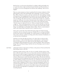blood red rose, or in the arms of the beloved, or reading a child a good night story, or a quiet hour alone at day's end when the pause between two lines of a poem, or in a prayer, or in an act of being there for someone who's suffering, "How can I be helpful?"

 There are certain moments our heart is quickened by the intimate realization of what faith proclaims. And in these quickenings, these awakenings, we taste for ourselves, like, "What a fool I am to worry so, the way I sometimes do," that nothing is missing in all directions. We serendipitously have found our way into this abiding love of God that is life as reality itself. But then we also see how these moments fade. They tend to be very fleeting. They fade away from us, and then there's another one, and there's another one. And soon, we can start to become aware of our tendency not to be aware of this infinite love that ultimately alone is real. And so, this is what Jesus meant, "You have eyes to see and you do not see." And so, our prayer becomes "Lord, that I might see." There are fleeting moments I see this. I see the truth that you and your love for me are giving yourself to me as the very miracle of me and of others and all things. I am subsisting in you like light subsists in flame. There's a certain moment I sense it, but I also see how I tend not to see it. I tend not to see it.

 And so, here it seems then, this is kind of the poetic image we're kind of moving toward here, that we can't get the ocean into a thimble, but we can drop the thimble into the ocean, and we are that thimble. At a certain moment, we realize this that in God, we live, and move, and have our being, and in these moments of realizations, we see that fear has no foundations.

 And then we see how that slips away from us. So, there's that in us that sees this, these moments, "I will not break faith with my awakened heart," and then there's that in me that doesn't see it yet, which is the me that still gets reactive, still gets overwhelmed, still gets flooded by fear such as with the pandemic. We're just human beings. We are just human beings. And this is the way of starting to move in closer, I think, to how to

Jim Finley: understand ourselves in the presence of Christ, in the presence of God, and what this deep healing consists in, like this.

> And there's another mystery in this, too, for us to consider. And the mystery is this, this is really the mystery of the cross, too, that in these moments of realization and we look out at the world, we begin to understand God as the presence that protects us from nothing even as God unexplainably sustains us in all things, that this presence of God, it doesn't protect us from the death, from the illness, from the fear of the loss of the beloved, from the suffering of this world. We just look out at the world, and we see all the suffering. It's like the view from the cross. It's like the view from the cross. We are not protected. God depends on us to be there for and with each other, that wherever there is suffering, we lean in close to touch the hurting place with love, to touch the hurting place with love, in ourselves and others, but grounded in a peace that's not dependent on the outcome of our efforts, because we're grounded in the peace of God, it isn't dependent on anything for it is rather the peace upon which everything depends.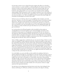So, here then it seems to me as a kind of the poetic imagery that allows us to develop a certain sensitivity or a certain sensibility to understanding that the intimate nature of this situation in which we find ourselves together on this earth as human beings, that I am sustained, I am being sustained in this moment, and each passing moment of my life, by this love that's giving itself to me as my very life, I am sustained, and the unfolding, unforeseeability of life circumstances, and I ever shall be sustained on, up, to the moment of my death and beyond. The moment that is approaching, even as I speak, it's approaching for you even as you listen to me. There's a deathless beauty of ourselves that shines bright and invincible in the fleetingness of our life in this world.

 And we see, too, as we look out, that we see our neighbors, those around us, are in the same boat. You know, we're all in this together. The deathless beauty of the beloved, Gabriel Marcel says, "We know we have learned to love someone when we've seen in them that which is too beautiful to die." And we know we've learned our self when we see that in us that is too beautiful to die. But this deathless beauty of our self is glimpsed fleetingly, like this, I think it's so easily overtaken by the part that doesn't see it yet. It's still reactive, still gets overwhelmed.

 So, it isn't just that we're all bound together in this invincible love that sustains us unexplainably, but we're bound together in the communal fragility of ourselves in the invincible love that sustains us so inexplicably, so mysteriously, like this. So, this then is the image that I offer, this spiritual worldview. We don't live in a society that cultivates the sensitivity which is at the heart of the gospel. And each world religion has its own language for this, but this is the lifeblood of religious consciousness; this, what I'm speaking here now, sharing with you, like this. And so, this is our reflection.

 And so, I'd like to suggest then a meditation for you. See, here's the thing, I think we see that unless we're faithful to a daily rendezvous with God, to kind of sit quietly in a place apart, to get re-grounded in the presence of God, and the truth, and the beauty of having the taproot of our heart anchored in this, that the intensity and density of the day-by-day flooding of the images of the pandemic—and who knows what else we're going through in our own life this is very, very personal because some of us are more robust than others, and some of us are carrying internalized traumas and abandonments. So, this present traumatizing, things that the society further activates this, so we need to be very vigilant and watch over ourselves, and to help each other, and be there for each other.

 So, in this fidelity, we can sit and reflect on this would be the meditation. But here's a specific meditation that helps me, it has helped me in the past with this. You know, it says in the gospels that Jesus would spend whole nights in prayer. So, in this kind of waking dream, imagine that you're alone in the garden, in a remote place where Jesus is there praying through the night, and you're there and your heart is heavy with the fears of the pandemic, and you're searching for Jesus, trusting that in the oneness with Jesus, that you might be released from this; see, how to be free of the tyranny of fear in the midst of your fear, free from the tyranny of death in the midst of death, how in the presence of Jesus we might experience this experiential salvation.

You also know in the waking dream that Jesus knows you're there, there looking for him. And you walk along, it's a full moon, and there you see Jesus at the edge of a clearing,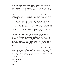and you intuit in the dream that he's waiting for you. And you walk over, and you kneel down on the ground at his feet, and you can feel his hand on your shoulder, and you lean in real close, and you whisper in his ear your fear. And you sense that he's listening, like infinitely listening, understanding infinitely more than you do the texture of your fear and understanding infinitely more than you do the love that is sustaining you in it. And he just listens.

 And when you've spent yourself, like pouring out your fear, you pull back, and he leans in real, real close, and he whispers in your ear that which releases you from the tyranny of fear. So, the question is, "Tell me, what does he say? That's the meditation, like, "Speak, Lord, your servant listens."

 There's another way of looking at this. Teresa of Ávila talks about inner locutions, inner words of God, and she says a locution is a word of God that creates what it says. So, when Jesus says in the Gospel, "Do not be afraid," like, "Fear not," Jesus leans in real close, and you hear the words of Jesus resonating in your heart, "Do not be afraid." And in Jesus' words not to be afraid, you're liberated from the tyranny of fear in the midst of fear. It doesn't mean that you're still not afraid, because you're just a human being. You have to go back out and turn on the TV and be caught up in whatever it is you're going through with all this. But it does mean the taproot of your heart is experientially grounded in this love that utterly transcends the darkness of this world and sustains you in this darkness of this world.

 And so, this is this experiential salvation, and then to love your neighbor as yourself, because everyone you see is a variation of yourself, everyone that's walking around. So, how can you be a healing presence in a traumatized world? That is, how can you in your own groundedness, be there for and with others, not just how can I be helpful in the practical realities, your family, your children—whatever this is, you're in your situation, I'm in mine but how can you become someone in whose presence that in the sharing of their fears, they might get a taste of this depth dimension of this loving presence that's sustaining them in the fear so that we then kind of pass on these healing energies throughout the world, within ourselves.

 So, in the light of that, then, I invite you to join me then in the meditation. I had to print out the words to the Lord's Prayer, because I forget the words to the Lord's Prayer. And so, here we're going to just sit just for a few moments. But, of course, on your own day by day, as you sit with this, if you're so inclined to listen to this, you can sit as your heart inclines you to sit and the situation allows. So, in this spirit then I invite you to sit straight, and bow, and, too, interiorly whispered, repeat after me:

Be still and know I am God.

Be still and know I am.

Be still and know.

Be still.

Be.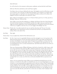[three bell tones]

So, we'll sit then for a few moments in silent prayer, meditation, and end with the Lord's Prayer.

[bell tone] Then bow and slowly say the Lord's Prayer together:

 Our Father, who art in heaven, hallowed be thy name. Thy kingdom come thy will be done on earth as it is in heaven. Give us this day our daily bread and forgive us our trespasses as we forgive those who trespass against us. And lead us not into temptation but deliver us from evil. For thine is the kingdom, the power, and the glory now and forever. Amen.

 Mary, mother of contemplatives, pray for us. St. Francis of Assisi, pray for us. St. Clare, pray for us. Blessings. Thank you. Until next time.

 Now, I'd like to move from this meditation to a dialogue with Kirsten Oates here, kind of listening for herself and then listening on your behalf for questions that might come up, or questions that might arise and the implications, the far-reaching implications, of seeing life in this way, the situation in this way, as it applies to each one of us, so we can engage in this dialogue now. Yes.

- Kirsten Oates: Thanks, Jim. I was really struck by the way you said that when Jesus said "Fear not," he wasn't suggesting that we be released from our fear, our human fear, but that we are released from the tyranny of fear in the midst of fear.
- Jim Finley: That's right.
- Kirsten Oates: Can you explain that a little bit? How did that feel to me?
- Jim Finley: Yes. Yes. I want to use it in specifically Christian terms first and apply it to us. Let's say Jesus is this kind of incarnate presence of God as the human experience itself. In the Garden of Gethsemane, it says Jesus "sweat blood," in a very severe trauma, because he saw crucifixions, you know, they were an extremely cruel kind of violent death. And so, see, "If it possible, let this cup pass from me." So, in sweating blood, he was in a severely traumatized state. And which means then, he's one with us in our traumatized state.

 There was a Franciscan priest, William McNamara, who lived as a hermit for a while, he gave a talk once to his community. He's passed away now. I think he's passed away. And he said, you know, if you saw off a tree, you see the rings of the tree there, but it's important to know that the rings run the entire length of the tree, you know. So, the life of Christ is just the rings, like God's oneness with us in suffering runs up the entire thing. We fill up what is lacking in the suffering of Christ. And then when he hung on the cross, not only was he in this executed state, but then say, "My God, my God, why hast thou forsaken me?" See, he lost faith. In other words, he prayed to the God he could no longer find. So, in a sense, out of love for us, he becomes identified with us as precious in our trauma.

 And so, we're not exempt from trauma. When we get overwhelmed and afraid because we've lost someone, or we look out at the world, we're afraid, because very, very scary things happen to us. And so much so, we can momentarily lose experiential access to that love we know is there, and that helps us have empathy. If we have the gift of faith to reground us in the love we know is there, we can have empathy with those who aren't able to experientially ground themselves in it. And that's how we're woven. We all belong to each other, that our suffering doesn't belong to us. Our suffering, we're all woven into each other, like this, and God's love is woven into our trauma. And I would put it that way.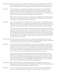- Kirsten Oates: And Jim, do you think at a time like this it feels like we're at extremes, like there's a communal fear, that we're triggering each other with our own personal fears so the sense of fear seems to be at an extreme, does that provide more of an opening for the sense of that love or that infinite presence?
- Jim Finley: It does. You know, in terms of the big arc of history, in scriptural terms, this would be like the experience of the fall of Jerusalem, when Jerusalem fell, or in times of St. Augustine, the fall of the Roman Empire, or where the black plague swept through. We all kind of rely on the kind of constancy of the structures of society, you know, the norms and the patterns, and we tend to rely on those almost in an unquestioned sense. So, suddenly, when it breaks open—

 There's a little Zen story about, you know, these Zen masters, the tradition, they hold this little fan, the tradition is it's made of rhinoceros horn. And so, there is a little kōan where the Zen master says to the student, "Get my rhinoceros horn fan." And he says,

Jim Finley: "Master, the fan is broken." He said, "Well then get me the rhinoceros," see? And Thomas Merton, when he commented on that, also reflecting on it in the Asian Journal and the talk he had with the Dalai Lama. See, the structures are broken. We have faith in the structures. We also have faith in our ego-self that's formed in those structures. So, when it starts to break open, we start to break open.

> That's what trauma is, that we can tolerate anything as long as the center holds to face it, but it's very scary when the center starts to go. And so, we're in kind of a collective traumatization. So, what we're looking for is how to ground ourselves in a love that transcends it. Not to flee from it, but to give us the courage and the strength to be authentically present, and as one more scared person among a lot of scared people, that is, someone we hope and trust, that the tyranny of our fear is healed by the love that sustains us in our fear. And we're kind of like that with ourselves. We're like that with each other. That's the sense of it. I think.

- Kirsten Oates: Yeah, that really resonates with me when you were saying that unconsciously we're so reliant on societal structures and then you took it a step deeper that our ego is kind of formed in relationship to the sense of the safety in those structures. So, it's a very challenging time.
- Jim Finley: It is. When I work with people in therapy with trauma, you're really working with somebody who has been in the presence of an overwhelming event, and they can't get their balance. They can't get their balance. And so, this is why this is so universally personal, you know, this touches you because it activates our own. And this is why we need to be very present to it and very respectful of it. So, how can we ground ourselves in this thought through prayer? And then, also, where can we reach out to just one other person, just one other person, who we know we're not alone in this.

 Maybe that's the value of what we're sharing right now with people if through this, they can be touched by knowing that they're not alone in it. This is how we then collectively move on together as we find our way through this, getting grounded in an inner peace that is not dependent on the outcome of the effort, because we are unexplainably sustained regardless of the outcome by human terms as this love that takes us to itself unexplainably. But we do our best to protect ourselves and others as best we can. I think that's our task. That's our challenging task.

- Kirsten Oates: Yeah. And then this faith can be built on partly knowing that throughout history, this is how Christianity has grown and sustained itself. There have been many instances of this happening where people's faith has sustained them through very challenging things.
- Jim Finley: It's very true, not just the crisis of society to the community, but also the crisis of faith itself, and leaders in the church, and brokenness. I always share with people that, you know, at The Last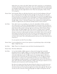Supper there was a traitor at the table. Things weren't off to a good start, so, just brokenness everywhere, like fragmented. But the thing is, what is the invincible light that tenderly shines out through the broken places, and how can we reground ourselves in it to touch the broken places with love that they might dissolve in love? That's the tonal quality, I think, of what we're saying here.

- Kirsten Oates: Yeah. Beautiful. When you talk about that there's a part of us that has glimpses of this and has a real knowing about that light that shines through, but then the part of us that still doesn't, and when you say our hope and our faith tells us not to flee from the tragedy but to try and stay present to it and find our way to that depth, I've noticed in myself and in friends and family, this kind of primal fear response that arises. And so, I think psychotherapists the fight, flight, or freeze—this kind of response, I just wondered if you could speak to that and how we might become more self-aware and help ourselves in those moments.
- Jim Finley: Yeah, really. I want to say something, too, of just the vulnerability of all this, and this is not to divert from it, is that this is especially poignant for me because of my own history of trauma and sitting with traumatized people for thirty years in therapy, and knowing that my dearly beloved wife just died a week ago, right here in this house, kind of broken, broken, broken, broken. My oldest daughter who is here with me is a hospice nurse in a hospital, and one of the very first cases here in this county was in a hospital where she works. So, she must go in tomorrow to admit people into hospice in the hospital. And so, she's to take her notes and go out and write her notes in the car so she's not unnecessarily exposed. So, she's concerned about herself, then she goes home to her children. So, we all have our story, do you know what I mean? This is universally personal for each one of us. And I think that's the context for it.

So, your question was what? You were asking--

- Kirsten Oates: I was just asking then in terms of your experience in psychotherapy, help us with the fight, flight, or fright that arises.
- Jim Finley: Right. I'll put it in a therapeutic stance and what's the spiritual ground of it.

Kirsten Oates: Mm-hmm (affirmative).

Jim Finley: Let's say that the fight-or-flight response is a deep survival strategy that's somatically grounded in all of us to fight or flight, it's a survival strategy, fight or flight, and properly understood it preserves life. For the flight is to do what we can to avoid the destructive event and to help others avoid it. To fight means to set a boundary against it, like not to passively get into it, but the fact that we set the boundary in it. So, we might say all those right now that are working in the medical field and with the sick, they're fighting in this sense of fighting, of setting a boundary to work through all this, and we're one with them in spirit. There's all of that. And that's important, I think, I mean that grace empowers us to set boundaries and to be protective and be nurturing, all of that.

> But what we're saying is this: But what about all those for whom we see on the news every day, they count the numbers of those that went under in this illness? And then we say we can't rule out that one of our loved ones might be one of those who might die. We can't rule out that you and I, and some of those listening right now might be among those who die,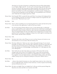what then? So, if my base of operation is nothing deeper than the self that things happen to, so if I fight or flight, what if I-- So, how can I, as a human being, sink the taproot of my heart in a presence that transcends my ordinary humanity, and at the same time utterly permeates it through, and through, and through, and through, and empowers me to be present to do the best I can to be a nurturing person, a protective person, a healing person, in a peace that isn't dependent on how that might turn out specifically for me or my loved ones? I think that's the courageous spirit here, I think.

- Kirsten Oates: Yeah. Beautiful. Well, I certainly felt that myself when I was sitting in the background here in your meditation and when you invited us to whisper in Jesus's ear our greatest fear, and then you said, "What does he say to you?"
- Jim Finley: Yeah.
- Kirsten Oates: Yeah. So, there's something even in not knowing what I'd say to him and what he'd say back to me, but just in that opportunity, I could even feel some comfort.
- Jim Finley: Yes. I love the saying of Thomas Merton, he says, "In the spiritual order, to understand means to understand that you're understood." And by the way, I think there's something else here for all of us when we look at it this way. There is the fear of the pandemic but based on what we're going through at the time, that might not be our deepest fear. See, the fear of the pandemic may be activating or energizing our deepest fear, which might be something much closer to home, and that's what we tell Jesus.
- Kirsten Oates: Yeah.
- Jim Finley: You know, that's what we take. We go as we are in our fears, because we're loved as we are and sustained as we are in our fears. That's the intimacy of it.
- Kirsten Oates: Mm-hmm (affirmative). Thank you. Just to share with people listening, I've just noticed personally, my response is freeze. You know, like I really freeze up and want to get small, and my body contracts, but being with you and listening to that meditation, I could feel, you know, that opening up to something bigger, something deeper. So, I really appreciate what you're offering there.
- Jim Finley: Yeah. And by the way, that's what makes us so incarnate. All of us have little survival strategies inside, that we know if we're faithful to them, we get a little more grounded, present. Sometimes when we get very afraid, we're neglectful of our, you know, we panic. So, it might be a real, real, long hot shower, a walk around the block, a phone call, making muffins, having a sip of tea, sitting there looking out of the porch. Whatever that is—

Kirsten Oates: Yes.

- Jim Finley: --whatever these rituals of nurturance are, these simple human rituals are, that we know that we're not neglectful of that. And then in that rested state, we sink our taproot into this thing and move forward as best we can.
- Kirsten Oates: Oh, that's very helpful. That's very helpful, Jim. So, like stay with the practical things that help relax your system and allow you to practice more fully.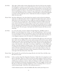- Jim Finley: That's right. I think another sensitive thing about this is that if we don't get close enough to the hurting place to touch it, we can't heal it. But if we get too close too soon, the energy in it overwhelms us. And I think that's why sometimes we pretend that we care less than we do because if we opened our heart to care, we feel we'd be swept away. So, we're learning the art form of modulating our tolerance, to back off, to get a deep breath, to get re-grounded, not to run in the other direction, but to continue to come back again, to touch the hurting place in ourselves and the people that we love. I think that's the artistry of compassion, really, I think, the mercy, yeah.
- Kirsten Oates: Mm-hmm (affirmative). One other thing I just wanted to touch on from the meditation today that you talked about places where we might feel the depth of that taproot. And you talked about in the midst of nature, that we might have tasted the abiding love of God, or in a moment, but we can't grip onto it. This morning, I'm fortunate enough to live by the ocean, and my husband and I took our dogs to the beach, and I was just so struck by the beauty of the waves rising and crashing and the sound, and I just had this sense as it crashed just the exploding beauty and kind of sense of something beautiful and deep and wonderful, but then it's gone. The wave's gone. And maybe that's kind of resonant with what you were expressing.
- Jim Finley: It is. I love this saying, you know, Chögyam Trungpa Rinpoche, a Buddhist teacher in Boulder, I love that saying he has. He says, "our raw and beautiful heart." And it's very true. It's very true that the trauma can overwhelm us, and it can. But what's also true, there's like an unexpected ability to see the eloquence of something in the midst of pain. You know, it's a very enigmatic experience in the very midst of it, it actually opens us up to see it.

 I was talking to my youngest daughter. She's in Cleveland, Ohio right now, and I used to live there. And so, she was walking in the woods, and she turned and showed the camera walking through the woods. And I can remember when I lived in Ohio, the woods. And when I was in the monastery, I used to take long walks in the woods, and there was something like the ocean, or the mountains, or the woods, or you know, a single flower, or a slant of light across the floor. I love that saying by Carl Jung, he says, "How can we claim the years have taught us anything if we haven't learned to sit and listen to the secret that whispers in the brooks?" And so, the whole world bodies forth this love, and it's such simple moments as that, you know, the waves crashing on the beach, it's like a memento in our heart. It puts us back in touch again with what's always there. Yeah. Yeah.

- Kirsten Oates: That's beautiful. Do you feel that that saying is like the veil is thin? Does it feel like a time like that for you, Jim?
- Jim Finley: It does, you know, that Celtic thing about thin places. I think what we're saying here is every place is a thin place. What it is, is that in our fear, the world is opaque to this love, but love casts out fear. So, whether it be love of a person, whatever the modality is, the horizon of this world becomes translucent to the love. And so, the thickness is really in our own heart, you know, the thickness is the layered, internalized traumas. I have my struggles, you have yours. But then we realize that everything is diaphanous, I mean, everything is thin, we can see it meekly shining through. I think that's what meditation practice is.

I think meditation practice is what the Buddha talks about neither perceiving nor not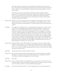perceiving. It's like a very subtle state. Is it possible to be vulnerable and safe at the same time, and in kind of a trusting stance of being sustained in the miracle of a single breath, see? And so, I think we must get acclimated to staying in that space long enough so it can have its way with us.

 Another way I put it is that that which is essential never imposes itself, that which is unessential is constantly imposing itself, but by a higher order of wisdom of the awakened heart, we can give ourselves over to that which is essential in the midst of that which is unessential and be a more grounded person in the midst of our situation. That's the path we're all on, I guess. Yeah, trying to.

- Kirsten Oates: Thank you, Jim. Some closing words just to recognize the encouragement here to continue with the practice, but in the silence, you've said before, just take whatever time you need. Maybe you can only do a minute right now, or maybe you need an hour, but be gentle with yourself.
- Jim Finley: That's right. And I would say this, too, to the people who would come to my silent retreats over the years, I'm speaking here out of kind of a mystical Catholicism, out of my own tradition. I've also been profoundly influenced by the Dharma. And so, I think what we need to do is ask what is our venue of transformation? So, for us it might be art, or poetry, or silence, or being vulnerable in the presence of that person in whose presence we're taken to the deeper place. What is that act that when we give ourselves over to it with our whole heart, we're taken to the deeper place? We may not even identify with any religious tradition at all, but there is that taproot, that grounding place. And so, each of us needs to find our own place that grants entrance into the deeper place and be faithful to that. And then respect kind of the beauty of the plurality of these modalities of awakening so that each of us can help and support each other in our own space. Yeah.
- Kirsten Oates: Beautiful. Thank you, Jim. We'd also like to invite questions in these new podcasts. We're trying to be more responsive, so to be able to answer questions that arise, we just ask people to be very succinct in their question or their comments so that we can turn them around in a week or two. So, please, send Jim some questions but as succinct as they can be, just a couple of sentences and then we can—
- Jim Finley: And they know how to do that, the format to send it?
- Kirsten Oates: Yes. So, that's in the show notes and mentioned at the very end of the podcast, so, thanks, Jim. Before we go today, I just do want to acknowledge, Jim, the passing of your beloved wife, Maureen, and that's only happened less than a week ago.
- Jim Finley: That's right.
- Kirsten Oates: And so, I wanted to thank you for being with us as a community even in the midst of your own grief. And I wanted to, on behalf of the community, let you know how sorry we are that you've lost Maureen, and that we stand in solidarity with your grief.
- Jim Finley: [music plays] Thank you for that, very much. I appreciate that so much, really, thank you.